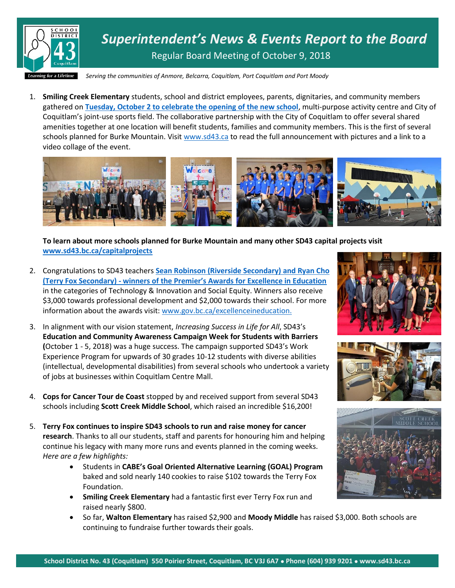

*Superintendent's News & Events Report to the Board* Regular Board Meeting of October 9, 2018

*Serving the communities of Anmore, Belcarra, Coquitlam, Port Coquitlam and Port Moody*

1. **Smiling Creek Elementary** students, school and district employees, parents, dignitaries, and community members gathered on **[Tuesday, October 2 to celebrate the opening of the new school](https://www.sd43.bc.ca/Lists/Documents/Smiling%20Creek%20Opening%20Announcement.pdf)**, multi-purpose activity centre and City of Coquitlam's joint-use sports field. The collaborative partnership with the City of Coquitlam to offer several shared amenities together at one location will benefit students, families and community members. This is the first of several schools planned for Burke Mountain. Visit [www.sd43.ca](http://www.sd43.ca/) to read the full announcement with pictures and a link to a video collage of the event.



**To learn about more schools planned for Burke Mountain and many other SD43 capital projects visit [www.sd43.bc.ca/capitalprojects](http://www.sd43.bc.ca/capitalprojects)**

- 2. Congratulations to SD43 teachers **[Sean Robinson \(Riverside Secondary\) and Ryan Cho](https://news.gov.bc.ca/releases/2018PREM0074-001938)  (Terry Fox Secondary) - [winners of the Premier's Awards for Excellence in Education](https://news.gov.bc.ca/releases/2018PREM0074-001938)** in the categories of Technology & Innovation and Social Equity. Winners also receive \$3,000 towards professional development and \$2,000 towards their school. For more information about the awards visit[: www.gov.bc.ca/excellenceineducation.](http://www.gov.bc.ca/excellenceineducation)
- 3. In alignment with our vision statement, *Increasing Success in Life for All*, SD43's **Education and Community Awareness Campaign Week for Students with Barriers (**October 1 - 5, 2018) was a huge success. The campaign supported SD43's Work Experience Program for upwards of 30 grades 10-12 students with diverse abilities (intellectual, developmental disabilities) from several schools who undertook a variety of jobs at businesses within Coquitlam Centre Mall.
- 4. **Cops for Cancer Tour de Coast** stopped by and received support from several SD43 schools including **Scott Creek Middle School**, which raised an incredible \$16,200!
- 5. **Terry Fox continues to inspire SD43 schools to run and raise money for cancer research**. Thanks to all our students, staff and parents for honouring him and helping continue his legacy with many more runs and events planned in the coming weeks. *Here are a few highlights:*
	- Students in **CABE's Goal Oriented Alternative Learning (GOAL) Program** baked and sold nearly 140 cookies to raise \$102 towards the Terry Fox Foundation.
	- **Smiling Creek Elementary** had a fantastic first ever Terry Fox run and raised nearly \$800.
	- So far, **Walton Elementary** has raised \$2,900 and **Moody Middle** has raised \$3,000. Both schools are continuing to fundraise further towards their goals.